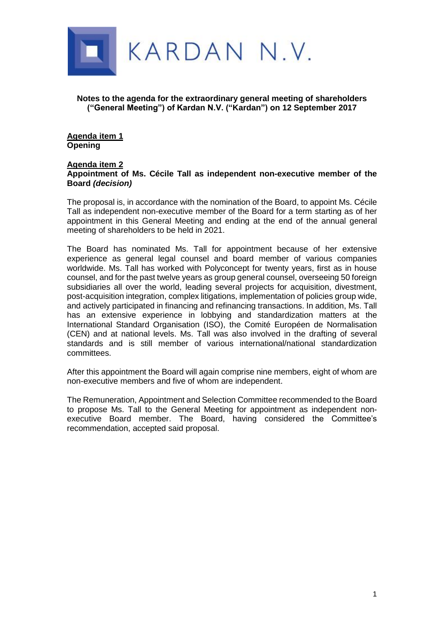

**Notes to the agenda for the extraordinary general meeting of shareholders ("General Meeting") of Kardan N.V. ("Kardan") on 12 September 2017**

**Agenda item 1 Opening**

#### **Agenda item 2 Appointment of Ms. Cécile Tall as independent non-executive member of the Board** *(decision)*

The proposal is, in accordance with the nomination of the Board, to appoint Ms. Cécile Tall as independent non-executive member of the Board for a term starting as of her appointment in this General Meeting and ending at the end of the annual general meeting of shareholders to be held in 2021.

The Board has nominated Ms. Tall for appointment because of her extensive experience as general legal counsel and board member of various companies worldwide. Ms. Tall has worked with Polyconcept for twenty years, first as in house counsel, and for the past twelve years as group general counsel, overseeing 50 foreign subsidiaries all over the world, leading several projects for acquisition, divestment, post-acquisition integration, complex litigations, implementation of policies group wide, and actively participated in financing and refinancing transactions. In addition, Ms. Tall has an extensive experience in lobbying and standardization matters at the International Standard Organisation (ISO), the Comité Européen de Normalisation (CEN) and at national levels. Ms. Tall was also involved in the drafting of several standards and is still member of various international/national standardization committees.

After this appointment the Board will again comprise nine members, eight of whom are non-executive members and five of whom are independent.

The Remuneration, Appointment and Selection Committee recommended to the Board to propose Ms. Tall to the General Meeting for appointment as independent nonexecutive Board member. The Board, having considered the Committee's recommendation, accepted said proposal.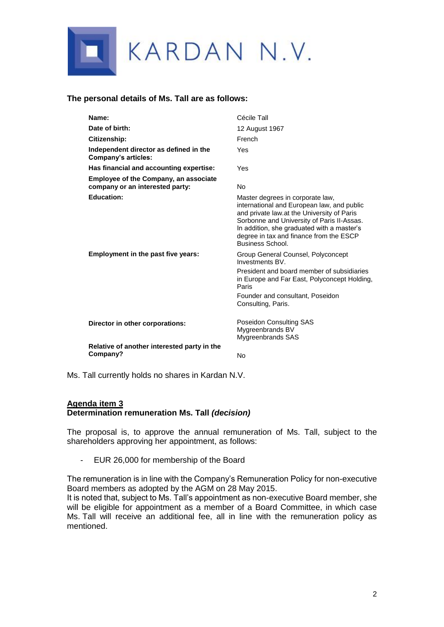

### **The personal details of Ms. Tall are as follows:**

| Name:                                                                           | Cécile Tall                                                                                                                                                                                                                                                                             |
|---------------------------------------------------------------------------------|-----------------------------------------------------------------------------------------------------------------------------------------------------------------------------------------------------------------------------------------------------------------------------------------|
| Date of birth:                                                                  | 12 August 1967                                                                                                                                                                                                                                                                          |
| Citizenship:                                                                    | French                                                                                                                                                                                                                                                                                  |
| Independent director as defined in the<br>Company's articles:                   | Yes                                                                                                                                                                                                                                                                                     |
| Has financial and accounting expertise:                                         | Yes                                                                                                                                                                                                                                                                                     |
| <b>Employee of the Company, an associate</b><br>company or an interested party: | No                                                                                                                                                                                                                                                                                      |
| <b>Education:</b>                                                               | Master degrees in corporate law,<br>international and European law, and public<br>and private law.at the University of Paris<br>Sorbonne and University of Paris II-Assas.<br>In addition, she graduated with a master's<br>degree in tax and finance from the ESCP<br>Business School. |
| Employment in the past five years:                                              | Group General Counsel, Polyconcept<br>Investments BV.<br>President and board member of subsidiaries<br>in Europe and Far East, Polyconcept Holding,<br>Paris<br>Founder and consultant, Poseidon<br>Consulting, Paris.                                                                  |
| Director in other corporations:                                                 | Poseidon Consulting SAS<br>Mygreenbrands BV<br>Mygreenbrands SAS                                                                                                                                                                                                                        |
| Relative of another interested party in the<br>Company?                         | No                                                                                                                                                                                                                                                                                      |

Ms. Tall currently holds no shares in Kardan N.V.

# **Agenda item 3 Determination remuneration Ms. Tall** *(decision)*

The proposal is, to approve the annual remuneration of Ms. Tall, subject to the shareholders approving her appointment, as follows:

- EUR 26,000 for membership of the Board

The remuneration is in line with the Company's Remuneration Policy for non-executive Board members as adopted by the AGM on 28 May 2015.

It is noted that, subject to Ms. Tall's appointment as non-executive Board member, she will be eligible for appointment as a member of a Board Committee, in which case Ms. Tall will receive an additional fee, all in line with the remuneration policy as mentioned.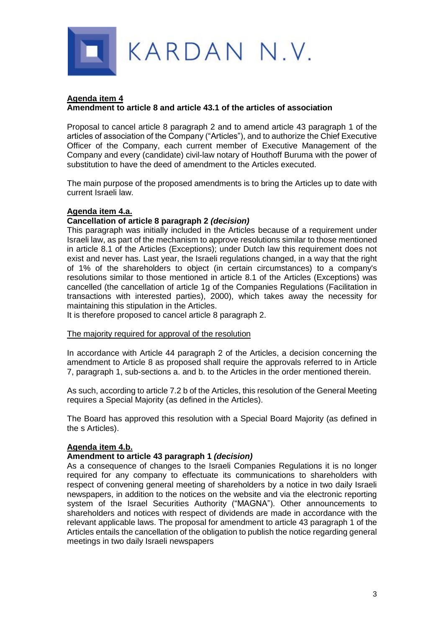

#### **Agenda item 4 Amendment to article 8 and article 43.1 of the articles of association**

Proposal to cancel article 8 paragraph 2 and to amend article 43 paragraph 1 of the articles of association of the Company ("Articles"), and to authorize the Chief Executive Officer of the Company, each current member of Executive Management of the Company and every (candidate) civil-law notary of Houthoff Buruma with the power of substitution to have the deed of amendment to the Articles executed.

The main purpose of the proposed amendments is to bring the Articles up to date with current Israeli law.

# **Agenda item 4.a.**

### **Cancellation of article 8 paragraph 2** *(decision)*

This paragraph was initially included in the Articles because of a requirement under Israeli law, as part of the mechanism to approve resolutions similar to those mentioned in article 8.1 of the Articles (Exceptions); under Dutch law this requirement does not exist and never has. Last year, the Israeli regulations changed, in a way that the right of 1% of the shareholders to object (in certain circumstances) to a company's resolutions similar to those mentioned in article 8.1 of the Articles (Exceptions) was cancelled (the cancellation of article 1g of the Companies Regulations (Facilitation in transactions with interested parties), 2000), which takes away the necessity for maintaining this stipulation in the Articles.

It is therefore proposed to cancel article 8 paragraph 2.

#### The majority required for approval of the resolution

In accordance with Article 44 paragraph 2 of the Articles, a decision concerning the amendment to Article 8 as proposed shall require the approvals referred to in Article 7, paragraph 1, sub-sections a. and b. to the Articles in the order mentioned therein.

As such, according to article 7.2 b of the Articles, this resolution of the General Meeting requires a Special Majority (as defined in the Articles).

The Board has approved this resolution with a Special Board Majority (as defined in the s Articles).

## **Agenda item 4.b.**

## **Amendment to article 43 paragraph 1** *(decision)*

As a consequence of changes to the Israeli Companies Regulations it is no longer required for any company to effectuate its communications to shareholders with respect of convening general meeting of shareholders by a notice in two daily Israeli newspapers, in addition to the notices on the website and via the electronic reporting system of the Israel Securities Authority ("MAGNA"). Other announcements to shareholders and notices with respect of dividends are made in accordance with the relevant applicable laws. The proposal for amendment to article 43 paragraph 1 of the Articles entails the cancellation of the obligation to publish the notice regarding general meetings in two daily Israeli newspapers